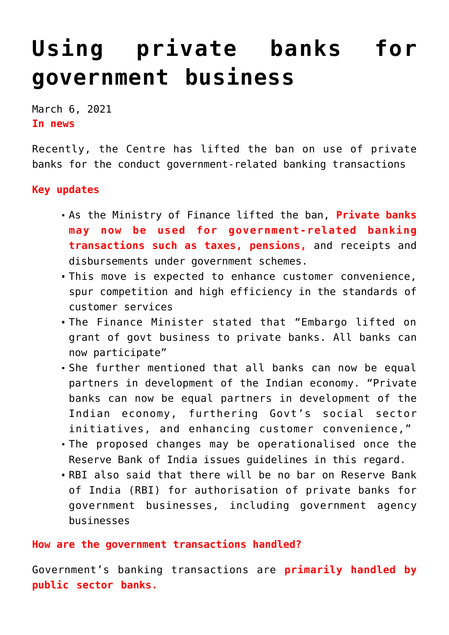## **[Using private banks for](https://journalsofindia.com/using-private-banks-for-government-business/) [government business](https://journalsofindia.com/using-private-banks-for-government-business/)**

March 6, 2021 **In news** 

Recently, the Centre has lifted the ban on use of private banks for the conduct government-related banking transactions

## **Key updates**

- As the Ministry of Finance lifted the ban, **Private banks may now be used for government-related banking transactions such as taxes, pensions,** and receipts and disbursements under government schemes.
- This move is expected to enhance customer convenience, spur competition and high efficiency in the standards of customer services
- The Finance Minister stated that "Embargo lifted on grant of govt business to private banks. All banks can now participate"
- She further mentioned that all banks can now be equal partners in development of the Indian economy. "Private banks can now be equal partners in development of the Indian economy, furthering Govt's social sector initiatives, and enhancing customer convenience,"
- The proposed changes may be operationalised once the Reserve Bank of India issues guidelines in this regard.
- RBI also said that there will be no bar on Reserve Bank of India (RBI) for authorisation of private banks for government businesses, including government agency businesses

## **How are the government transactions handled?**

Government's banking transactions are **primarily handled by public sector banks.**